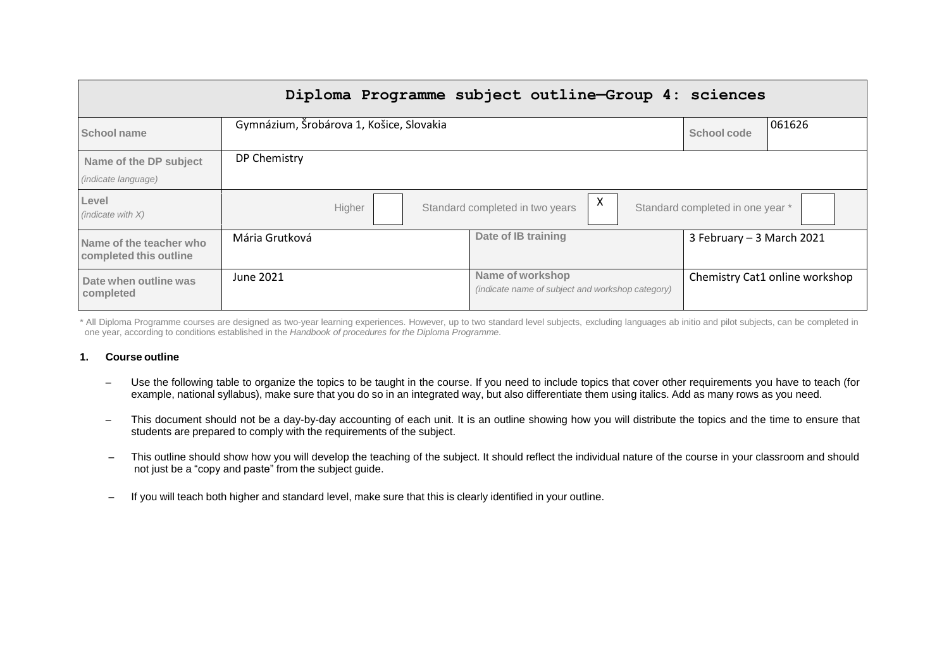|                                                      |                                                                                    | Diploma Programme subject outline-Group 4: sciences                  |                                |  |
|------------------------------------------------------|------------------------------------------------------------------------------------|----------------------------------------------------------------------|--------------------------------|--|
| School name                                          | Gymnázium, Šrobárova 1, Košice, Slovakia                                           |                                                                      | 061626<br>School code          |  |
| Name of the DP subject<br><i>(indicate language)</i> | DP Chemistry                                                                       |                                                                      |                                |  |
| Level<br>(indicate with $X$ )                        | X<br>Standard completed in one year *<br>Standard completed in two years<br>Higher |                                                                      |                                |  |
| Name of the teacher who<br>completed this outline    | Mária Grutková                                                                     | Date of IB training                                                  | 3 February - 3 March 2021      |  |
| Date when outline was<br>completed                   | June 2021                                                                          | Name of workshop<br>(indicate name of subject and workshop category) | Chemistry Cat1 online workshop |  |

\* All Diploma Programme courses are designed as two-year learning experiences. However, up to two standard level subjects, excluding languages ab initio and pilot subjects, can be completed in one year, according to conditions established in the *Handbook of procedures for the Diploma Programme*.

#### **1. Course outline**

- Use the following table to organize the topics to be taught in the course. If you need to include topics that cover other requirements you have to teach (for example, national syllabus), make sure that you do so in an integrated way, but also differentiate them using italics. Add as many rows as you need.
- This document should not be a day-by-day accounting of each unit. It is an outline showing how you will distribute the topics and the time to ensure that students are prepared to comply with the requirements of the subject.
- This outline should show how you will develop the teaching of the subject. It should reflect the individual nature of the course in your classroom and should not just be a "copy and paste" from the subject guide.
- If you will teach both higher and standard level, make sure that this is clearly identified in your outline.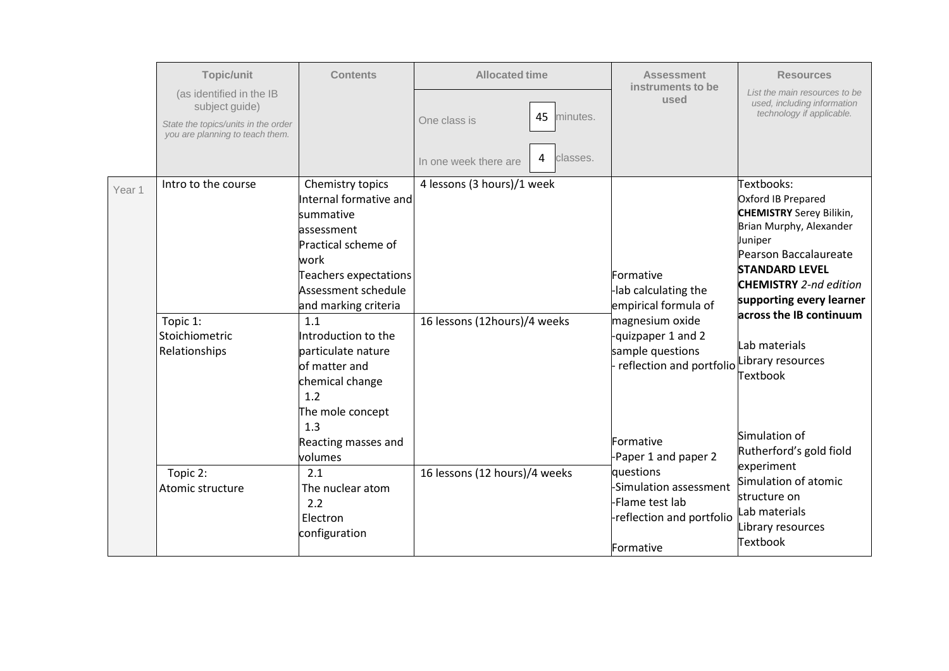|        | Topic/unit                                                             | <b>Contents</b>                                                                                                                       | <b>Allocated time</b>                  | <b>Assessment</b>                                                                                | <b>Resources</b>                                                                                                                                                                             |
|--------|------------------------------------------------------------------------|---------------------------------------------------------------------------------------------------------------------------------------|----------------------------------------|--------------------------------------------------------------------------------------------------|----------------------------------------------------------------------------------------------------------------------------------------------------------------------------------------------|
|        | (as identified in the IB<br>subject guide)                             |                                                                                                                                       | 45<br>minutes.<br>One class is         | instruments to be<br>used                                                                        | List the main resources to be<br>used, including information<br>technology if applicable.                                                                                                    |
|        | State the topics/units in the order<br>you are planning to teach them. |                                                                                                                                       |                                        |                                                                                                  |                                                                                                                                                                                              |
|        |                                                                        |                                                                                                                                       | classes.<br>4<br>In one week there are |                                                                                                  |                                                                                                                                                                                              |
| Year 1 | Intro to the course                                                    | Chemistry topics<br>Internal formative and<br>summative<br>lassessment<br>Practical scheme of<br>work<br><b>Teachers expectations</b> | 4 lessons (3 hours)/1 week             | Formative                                                                                        | Textbooks:<br>Oxford IB Prepared<br><b>CHEMISTRY</b> Serey Bilikin,<br>Brian Murphy, Alexander<br>Juniper<br>Pearson Baccalaureate<br><b>STANDARD LEVEL</b><br><b>CHEMISTRY</b> 2-nd edition |
|        |                                                                        | Assessment schedule<br>and marking criteria                                                                                           |                                        | -lab calculating the<br>empirical formula of                                                     | supporting every learner                                                                                                                                                                     |
|        | Topic 1:<br>Stoichiometric<br>Relationships                            | 1.1<br>Introduction to the<br>particulate nature<br>lof matter and<br>chemical change<br>1.2<br>The mole concept                      | 16 lessons (12hours)/4 weeks           | magnesium oxide<br>-quizpaper 1 and 2<br>sample questions<br>reflection and portfolio            | across the IB continuum<br>Lab materials<br>Library resources<br><b>Textbook</b>                                                                                                             |
|        |                                                                        | 1.3<br>Reacting masses and<br>volumes                                                                                                 |                                        | Formative<br>-Paper 1 and paper 2                                                                | Simulation of<br>Rutherford's gold fiold                                                                                                                                                     |
|        | Topic 2:<br>Atomic structure                                           | 2.1<br>The nuclear atom<br>2.2<br>Electron<br>configuration                                                                           | 16 lessons (12 hours)/4 weeks          | questions<br>-Simulation assessment<br>-Flame test lab<br>-reflection and portfolio<br>Formative | experiment<br>Simulation of atomic<br>structure on<br>lLab materials<br>Library resources<br>Textbook                                                                                        |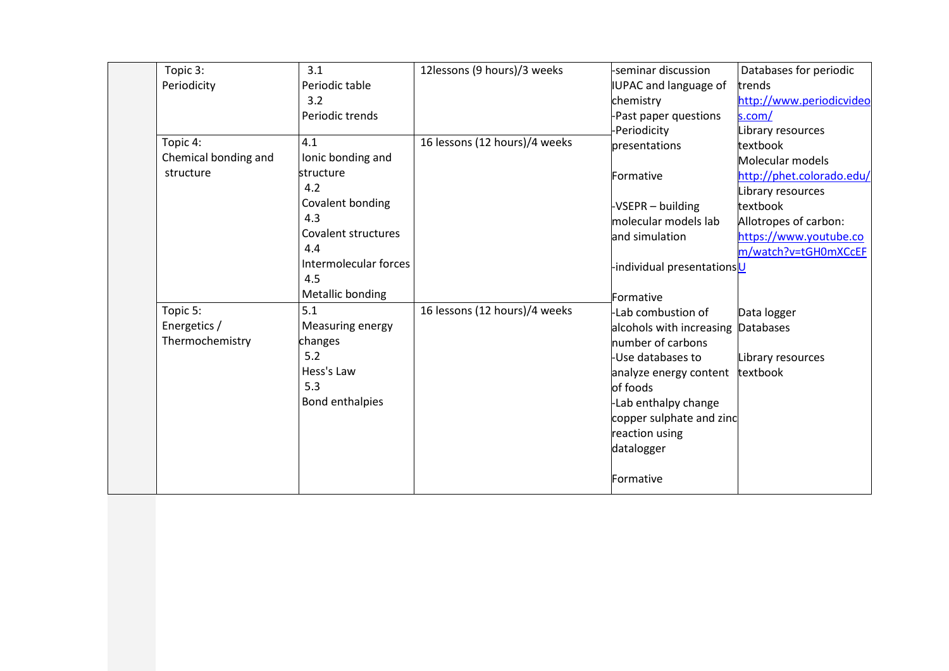| Topic 3:             | 3.1                   | 12lessons (9 hours)/3 weeks   | -seminar discussion       | Databases for periodic    |
|----------------------|-----------------------|-------------------------------|---------------------------|---------------------------|
| Periodicity          | Periodic table        |                               | IUPAC and language of     | trends                    |
|                      | 3.2                   |                               | chemistry                 | http://www.periodicvideo  |
|                      | Periodic trends       |                               | -Past paper questions     | s.com/                    |
|                      |                       |                               | -Periodicity              | Library resources         |
| Topic 4:             | 4.1                   | 16 lessons (12 hours)/4 weeks | presentations             | textbook                  |
| Chemical bonding and | Ionic bonding and     |                               |                           | Molecular models          |
| structure            | structure             |                               | Formative                 | http://phet.colorado.edu/ |
|                      | 4.2                   |                               |                           | Library resources         |
|                      | Covalent bonding      |                               | -VSEPR - building         | textbook                  |
|                      | 4.3                   |                               | molecular models lab      | Allotropes of carbon:     |
|                      | Covalent structures   |                               | and simulation            | https://www.youtube.co    |
|                      | 4.4                   |                               |                           | m/watch?v=tGH0mXCcEF      |
|                      | Intermolecular forces |                               | individual presentationsU |                           |
|                      | 4.5                   |                               |                           |                           |
|                      | Metallic bonding      |                               | Formative                 |                           |
| Topic 5:             | 5.1                   | 16 lessons (12 hours)/4 weeks | -Lab combustion of        | Data logger               |
| Energetics /         | Measuring energy      |                               | alcohols with increasing  | <b>Databases</b>          |
| Thermochemistry      | changes               |                               | number of carbons         |                           |
|                      | 5.2                   |                               | -Use databases to         | Library resources         |
|                      | Hess's Law            |                               | analyze energy content    | textbook                  |
|                      | 5.3                   |                               | of foods                  |                           |
|                      | Bond enthalpies       |                               | -Lab enthalpy change      |                           |
|                      |                       |                               | copper sulphate and zinc  |                           |
|                      |                       |                               | reaction using            |                           |
|                      |                       |                               | datalogger                |                           |
|                      |                       |                               |                           |                           |
|                      |                       |                               | Formative                 |                           |
|                      |                       |                               |                           |                           |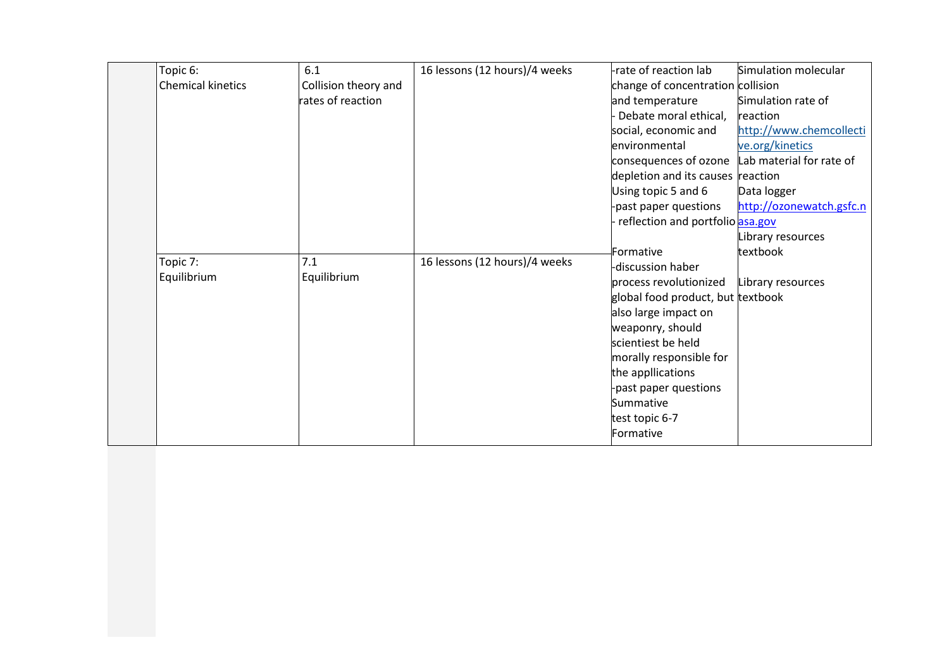| Topic 6:          | 6.1                  | 16 lessons (12 hours)/4 weeks | rate of reaction lab                           | Simulation molecular     |
|-------------------|----------------------|-------------------------------|------------------------------------------------|--------------------------|
| Chemical kinetics | Collision theory and |                               | change of concentration collision              |                          |
|                   | rates of reaction    |                               | and temperature                                | Simulation rate of       |
|                   |                      |                               | Debate moral ethical,                          | reaction                 |
|                   |                      |                               | social, economic and                           | http://www.chemcollecti  |
|                   |                      |                               | environmental                                  | ve.org/kinetics          |
|                   |                      |                               | consequences of ozone Lab material for rate of |                          |
|                   |                      |                               | depletion and its causes reaction              |                          |
|                   |                      |                               | Using topic 5 and 6                            | Data logger              |
|                   |                      |                               | past paper questions                           | http://ozonewatch.gsfc.n |
|                   |                      |                               | reflection and portfolio asa.gov               |                          |
|                   |                      |                               |                                                | Library resources        |
|                   | 7.1                  |                               | Formative                                      | textbook                 |
| Topic 7:          |                      | 16 lessons (12 hours)/4 weeks | -discussion haber                              |                          |
| Equilibrium       | Equilibrium          |                               | process revolutionized                         | Library resources        |
|                   |                      |                               | global food product, but textbook              |                          |
|                   |                      |                               | also large impact on                           |                          |
|                   |                      |                               | weaponry, should                               |                          |
|                   |                      |                               | scientiest be held                             |                          |
|                   |                      |                               | morally responsible for                        |                          |
|                   |                      |                               | the appllications                              |                          |
|                   |                      |                               | -past paper questions                          |                          |
|                   |                      |                               | Summative                                      |                          |
|                   |                      |                               | test topic 6-7                                 |                          |
|                   |                      |                               | Formative                                      |                          |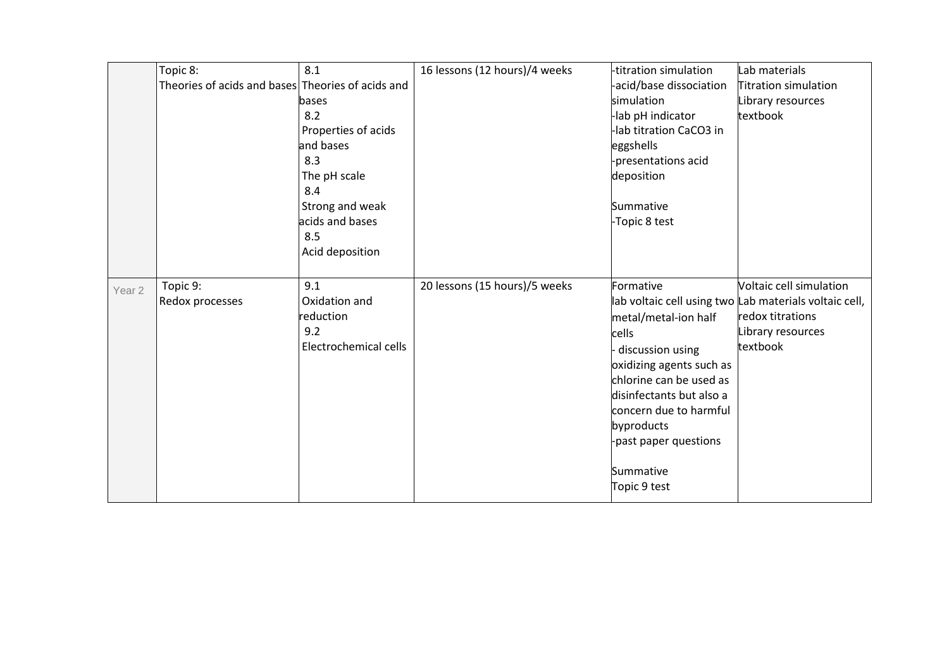|                   | Topic 8:<br>Theories of acids and bases Theories of acids and | 8.1<br>bases<br>8.2<br>Properties of acids<br>and bases<br>8.3<br>The pH scale<br>8.4 | 16 lessons (12 hours)/4 weeks | -titration simulation<br>acid/base dissociation<br>simulation<br>lab pH indicator<br>lab titration CaCO3 in<br>eggshells<br>-presentations acid<br>deposition                                                                                   | Lab materials<br>Titration simulation<br>Library resources<br>textbook                                                                 |
|-------------------|---------------------------------------------------------------|---------------------------------------------------------------------------------------|-------------------------------|-------------------------------------------------------------------------------------------------------------------------------------------------------------------------------------------------------------------------------------------------|----------------------------------------------------------------------------------------------------------------------------------------|
|                   |                                                               | Strong and weak<br>acids and bases<br>8.5<br>Acid deposition                          |                               | Summative<br>-Topic 8 test                                                                                                                                                                                                                      |                                                                                                                                        |
| Year <sub>2</sub> | Topic 9:<br>Redox processes                                   | 9.1<br>Oxidation and<br>reduction<br>9.2<br>Electrochemical cells                     | 20 lessons (15 hours)/5 weeks | Formative<br>metal/metal-ion half<br>cells<br>discussion using<br>oxidizing agents such as<br>chlorine can be used as<br>disinfectants but also a<br>concern due to harmful<br>byproducts<br>-past paper questions<br>Summative<br>Topic 9 test | Voltaic cell simulation<br>lab voltaic cell using two Lab materials voltaic cell,<br>redox titrations<br>Library resources<br>textbook |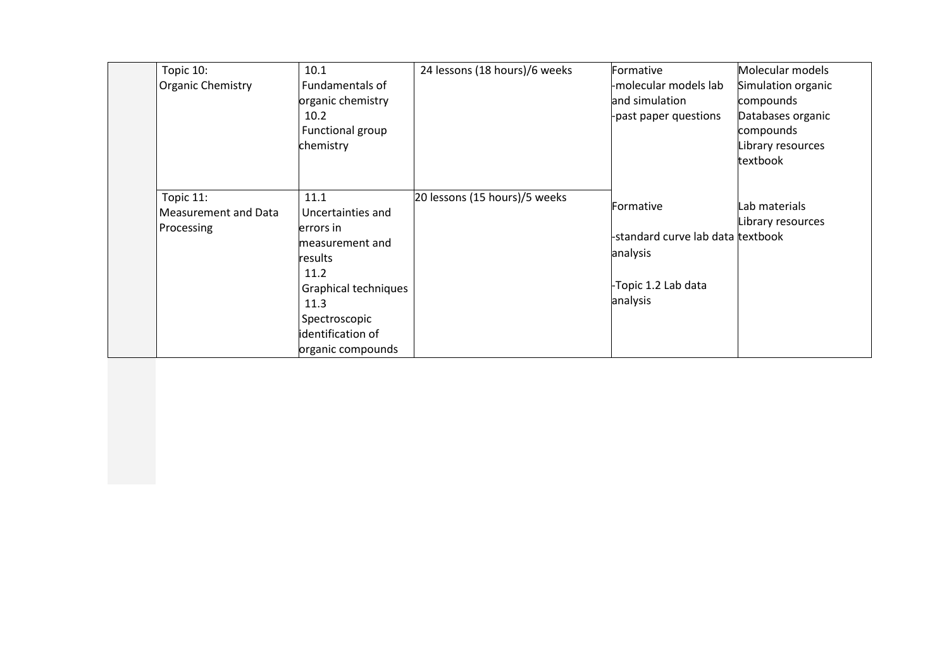| Topic 10:<br><b>Organic Chemistry</b>           | 10.1<br>Fundamentals of<br>organic chemistry<br>10.2<br>Functional group<br>chemistry                                                                                   | 24 lessons (18 hours)/6 weeks | Formative<br>-molecular models lab<br>and simulation<br>-past paper questions                 | Molecular models<br>Simulation organic<br>compounds<br>Databases organic<br>compounds<br>Library resources<br>textbook |
|-------------------------------------------------|-------------------------------------------------------------------------------------------------------------------------------------------------------------------------|-------------------------------|-----------------------------------------------------------------------------------------------|------------------------------------------------------------------------------------------------------------------------|
| Topic 11:<br>Measurement and Data<br>Processing | 11.1<br>Uncertainties and<br>errors in<br>measurement and<br>results<br>11.2<br>Graphical techniques<br>11.3<br>Spectroscopic<br>identification of<br>organic compounds | 20 lessons (15 hours)/5 weeks | Formative<br>-standard curve lab data textbook<br>analysis<br>-Topic 1.2 Lab data<br>analysis | Lab materials<br>Library resources                                                                                     |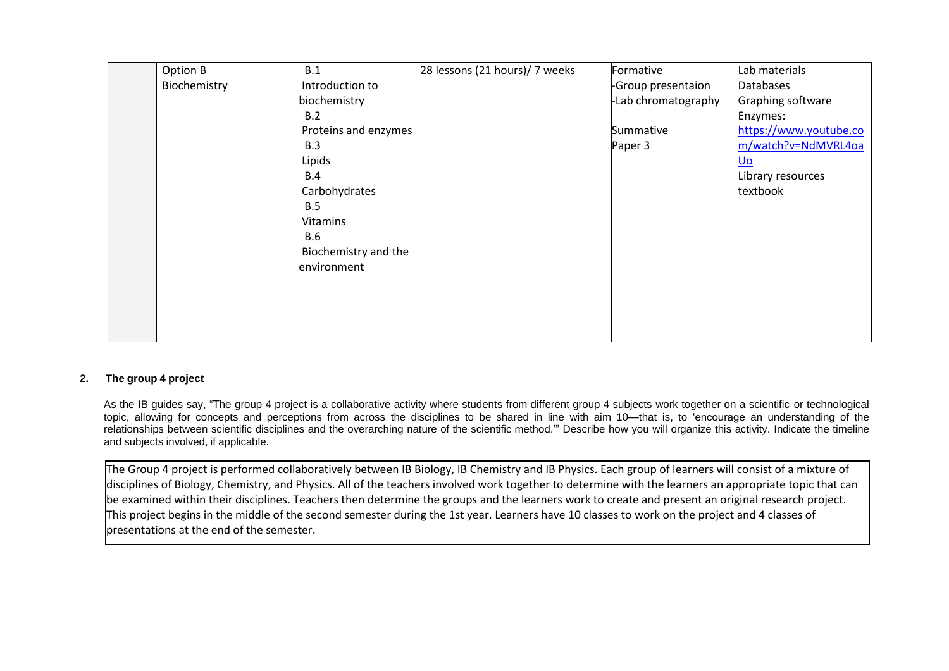| Option B     | B.1                  | 28 lessons (21 hours)/ 7 weeks | Formative                | Lab materials          |
|--------------|----------------------|--------------------------------|--------------------------|------------------------|
| Biochemistry | Introduction to      |                                | <b>Group presentaion</b> | <b>Databases</b>       |
|              | biochemistry         |                                | -Lab chromatography      | Graphing software      |
|              | B.2                  |                                |                          | Enzymes:               |
|              | Proteins and enzymes |                                | Summative                | https://www.youtube.co |
|              | B.3                  |                                | Paper 3                  | m/watch?v=NdMVRL4oa    |
|              | Lipids               |                                |                          | <u>Uo</u>              |
|              | B.4                  |                                |                          | Library resources      |
|              | Carbohydrates        |                                |                          | textbook               |
|              | B.5                  |                                |                          |                        |
|              | Vitamins             |                                |                          |                        |
|              | <b>B.6</b>           |                                |                          |                        |
|              | Biochemistry and the |                                |                          |                        |
|              | environment          |                                |                          |                        |
|              |                      |                                |                          |                        |
|              |                      |                                |                          |                        |
|              |                      |                                |                          |                        |
|              |                      |                                |                          |                        |

### **2. The group 4 project**

As the IB guides say, "The group 4 project is a collaborative activity where students from different group 4 subjects work together on a scientific or technological topic, allowing for concepts and perceptions from across the disciplines to be shared in line with aim 10—that is, to 'encourage an understanding of the relationships between scientific disciplines and the overarching nature of the scientific method.'" Describe how you will organize this activity. Indicate the timeline and subjects involved, if applicable.

The Group 4 project is performed collaboratively between IB Biology, IB Chemistry and IB Physics. Each group of learners will consist of a mixture of disciplines of Biology, Chemistry, and Physics. All of the teachers involved work together to determine with the learners an appropriate topic that can be examined within their disciplines. Teachers then determine the groups and the learners work to create and present an original research project. This project begins in the middle of the second semester during the 1st year. Learners have 10 classes to work on the project and 4 classes of presentations at the end of the semester.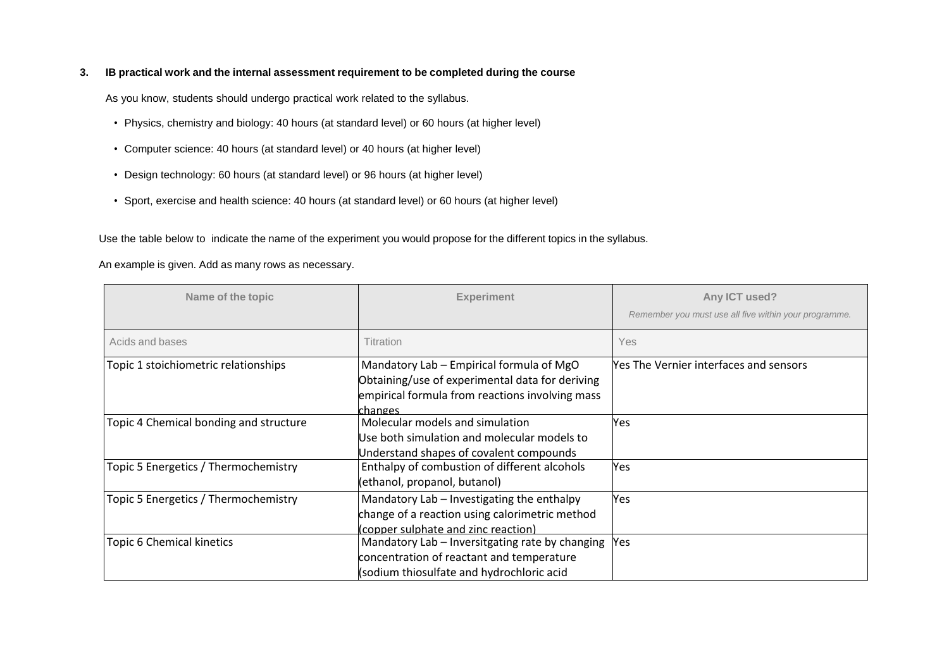### **3. IB practical work and the internal assessment requirement to be completed during the course**

As you know, students should undergo practical work related to the syllabus.

- Physics, chemistry and biology: 40 hours (at standard level) or 60 hours (at higher level)
- Computer science: 40 hours (at standard level) or 40 hours (at higher level)
- Design technology: 60 hours (at standard level) or 96 hours (at higher level)
- Sport, exercise and health science: 40 hours (at standard level) or 60 hours (at higher level)

Use the table below to indicate the name of the experiment you would propose for the different topics in the syllabus.

An example is given. Add as many rows as necessary.

| Name of the topic                      | <b>Experiment</b>                                                                                                                                         | Any ICT used?                                         |
|----------------------------------------|-----------------------------------------------------------------------------------------------------------------------------------------------------------|-------------------------------------------------------|
|                                        |                                                                                                                                                           | Remember you must use all five within your programme. |
| Acids and bases                        | Titration                                                                                                                                                 | <b>Yes</b>                                            |
| Topic 1 stoichiometric relationships   | Mandatory Lab - Empirical formula of MgO<br>Obtaining/use of experimental data for deriving<br>empirical formula from reactions involving mass<br>changes | <b>Nes The Vernier interfaces and sensors</b>         |
| Topic 4 Chemical bonding and structure | Molecular models and simulation<br>Use both simulation and molecular models to<br>Understand shapes of covalent compounds                                 | Yes                                                   |
| Topic 5 Energetics / Thermochemistry   | Enthalpy of combustion of different alcohols<br>(ethanol, propanol, butanol)                                                                              | Yes                                                   |
| Topic 5 Energetics / Thermochemistry   | Mandatory Lab - Investigating the enthalpy<br>change of a reaction using calorimetric method<br>(copper sulphate and zinc reaction)                       | Yes                                                   |
| Topic 6 Chemical kinetics              | Mandatory Lab - Inversitgating rate by changing<br>concentration of reactant and temperature<br>(sodium thiosulfate and hydrochloric acid                 | Yes                                                   |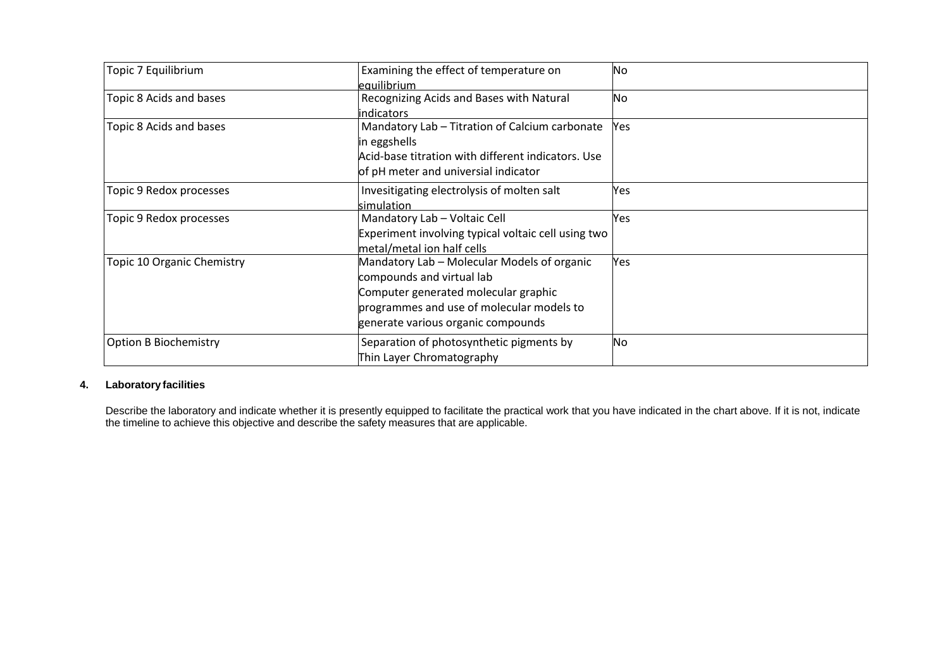| Topic 7 Equilibrium          | Examining the effect of temperature on<br>equilibrium                                                                                                                                               | <b>No</b> |
|------------------------------|-----------------------------------------------------------------------------------------------------------------------------------------------------------------------------------------------------|-----------|
| Topic 8 Acids and bases      | Recognizing Acids and Bases with Natural<br>indicators                                                                                                                                              | No        |
| Topic 8 Acids and bases      | Mandatory Lab - Titration of Calcium carbonate<br>in eggshells<br>Acid-base titration with different indicators. Use<br>of pH meter and universial indicator                                        | Yes       |
| Topic 9 Redox processes      | Invesitigating electrolysis of molten salt<br>simulation                                                                                                                                            | Yes       |
| Topic 9 Redox processes      | Mandatory Lab - Voltaic Cell<br>Experiment involving typical voltaic cell using two<br>metal/metal ion half cells                                                                                   | Yes       |
| Topic 10 Organic Chemistry   | Mandatory Lab - Molecular Models of organic<br>compounds and virtual lab<br>Computer generated molecular graphic<br>programmes and use of molecular models to<br>generate various organic compounds | Yes       |
| <b>Option B Biochemistry</b> | Separation of photosynthetic pigments by<br>Thin Layer Chromatography                                                                                                                               | No        |

# **4. Laboratory facilities**

Describe the laboratory and indicate whether it is presently equipped to facilitate the practical work that you have indicated in the chart above. If it is not, indicate the timeline to achieve this objective and describe the safety measures that are applicable.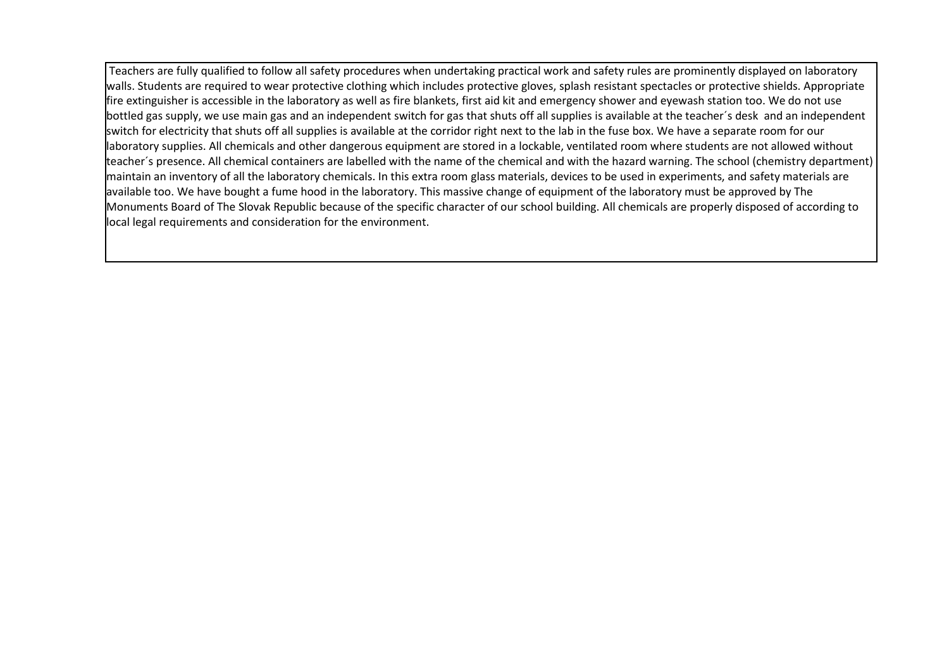Teachers are fully qualified to follow all safety procedures when undertaking practical work and safety rules are prominently displayed on laboratory walls. Students are required to wear protective clothing which includes protective gloves, splash resistant spectacles or protective shields. Appropriate fire extinguisher is accessible in the laboratory as well as fire blankets, first aid kit and emergency shower and eyewash station too. We do not use bottled gas supply, we use main gas and an independent switch for gas that shuts off all supplies is available at the teacher´s desk and an independent switch for electricity that shuts off all supplies is available at the corridor right next to the lab in the fuse box. We have a separate room for our laboratory supplies. All chemicals and other dangerous equipment are stored in a lockable, ventilated room where students are not allowed without teacher´s presence. All chemical containers are labelled with the name of the chemical and with the hazard warning. The school (chemistry department) maintain an inventory of all the laboratory chemicals. In this extra room glass materials, devices to be used in experiments, and safety materials are available too. We have bought a fume hood in the laboratory. This massive change of equipment of the laboratory must be approved by The Monuments Board of The Slovak Republic because of the specific character of our school building. All chemicals are properly disposed of according to local legal requirements and consideration for the environment.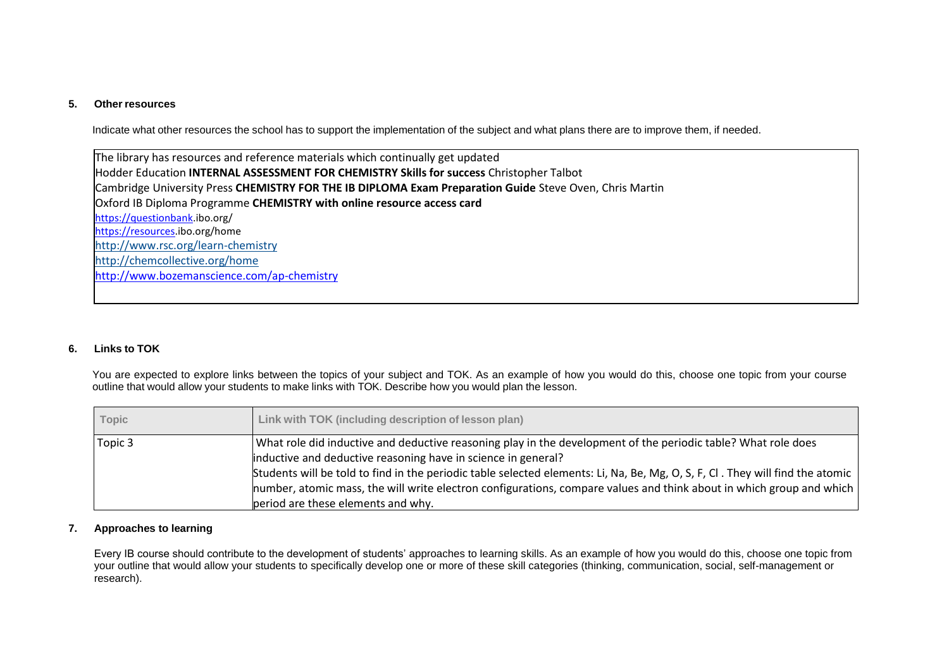#### **5. Other resources**

Indicate what other resources the school has to support the implementation of the subject and what plans there are to improve them, if needed.

The library has resources and reference materials which continually get updated Hodder Education **INTERNAL ASSESSMENT FOR CHEMISTRY Skills for success** Christopher Talbot Cambridge University Press **CHEMISTRY FOR THE IB DIPLOMA Exam Preparation Guide** Steve Oven, Chris Martin Oxford IB Diploma Programme **CHEMISTRY with online resource access card** [https://questionbank.](https://questionbank/)ibo.org/ [https://resources.i](https://resources/)bo.org/home <http://www.rsc.org/learn-chemistry> <http://chemcollective.org/home> <http://www.bozemanscience.com/ap-chemistry>

#### **6. Links to TOK**

You are expected to explore links between the topics of your subject and TOK. As an example of how you would do this, choose one topic from your course outline that would allow your students to make links with TOK. Describe how you would plan the lesson.

| <b>Topic</b> | Link with TOK (including description of lesson plan)                                                                          |
|--------------|-------------------------------------------------------------------------------------------------------------------------------|
| Topic 3      | What role did inductive and deductive reasoning play in the development of the periodic table? What role does                 |
|              | inductive and deductive reasoning have in science in general?                                                                 |
|              | Students will be told to find in the periodic table selected elements: Li, Na, Be, Mg, O, S, F, Cl. They will find the atomic |
|              | number, atomic mass, the will write electron configurations, compare values and think about in which group and which          |
|              | period are these elements and why.                                                                                            |

#### **7. Approaches to learning**

Every IB course should contribute to the development of students' approaches to learning skills. As an example of how you would do this, choose one topic from your outline that would allow your students to specifically develop one or more of these skill categories (thinking, communication, social, self-management or research).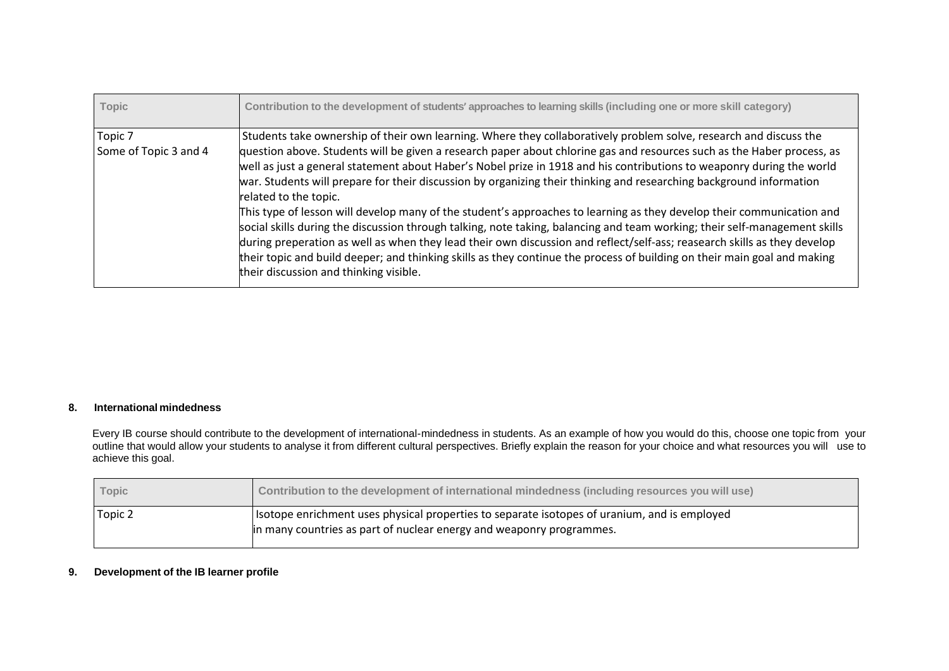| <b>Topic</b>                     | Contribution to the development of students' approaches to learning skills (including one or more skill category)                                                                                                                                                                                                                                                                                                                                                                                                                                                                                                                                                                                                                                                                                                                                                                                                                                                                                                                                                             |
|----------------------------------|-------------------------------------------------------------------------------------------------------------------------------------------------------------------------------------------------------------------------------------------------------------------------------------------------------------------------------------------------------------------------------------------------------------------------------------------------------------------------------------------------------------------------------------------------------------------------------------------------------------------------------------------------------------------------------------------------------------------------------------------------------------------------------------------------------------------------------------------------------------------------------------------------------------------------------------------------------------------------------------------------------------------------------------------------------------------------------|
| Topic 7<br>Some of Topic 3 and 4 | Students take ownership of their own learning. Where they collaboratively problem solve, research and discuss the<br>question above. Students will be given a research paper about chlorine gas and resources such as the Haber process, as<br>well as just a general statement about Haber's Nobel prize in 1918 and his contributions to weaponry during the world<br>war. Students will prepare for their discussion by organizing their thinking and researching background information<br>related to the topic.<br>This type of lesson will develop many of the student's approaches to learning as they develop their communication and<br>social skills during the discussion through talking, note taking, balancing and team working; their self-management skills<br>during preperation as well as when they lead their own discussion and reflect/self-ass; reasearch skills as they develop<br>their topic and build deeper; and thinking skills as they continue the process of building on their main goal and making<br>their discussion and thinking visible. |

## **8. International mindedness**

Every IB course should contribute to the development of international-mindedness in students. As an example of how you would do this, choose one topic from your outline that would allow your students to analyse it from different cultural perspectives. Briefly explain the reason for your choice and what resources you will use to achieve this goal.

| Topic   | Contribution to the development of international mindedness (including resources you will use)                                                                       |
|---------|----------------------------------------------------------------------------------------------------------------------------------------------------------------------|
| Topic 2 | Isotope enrichment uses physical properties to separate isotopes of uranium, and is employed<br>in many countries as part of nuclear energy and weaponry programmes. |

# **9. Development of the IB learner profile**